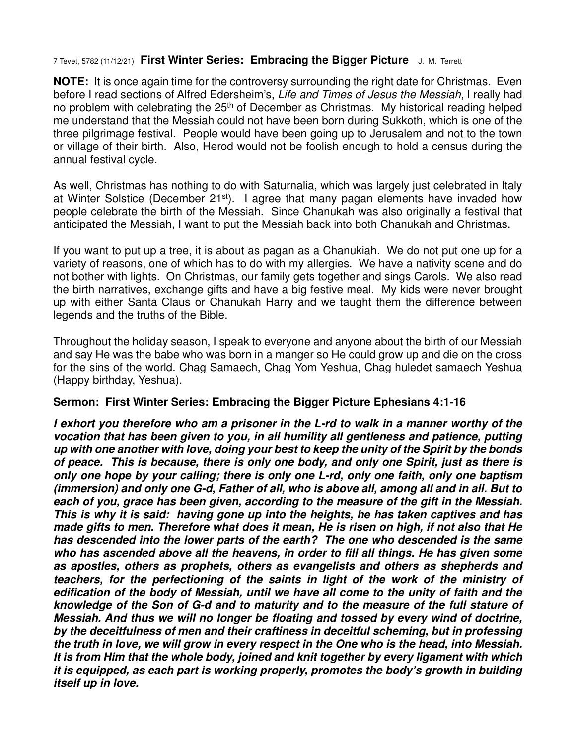## 7 Tevet, 5782 (11/12/21) **First Winter Series: Embracing the Bigger Picture** J. M. Terrett

**NOTE:** It is once again time for the controversy surrounding the right date for Christmas. Even before I read sections of Alfred Edersheim's, Life and Times of Jesus the Messiah, I really had no problem with celebrating the  $25<sup>th</sup>$  of December as Christmas. My historical reading helped me understand that the Messiah could not have been born during Sukkoth, which is one of the three pilgrimage festival. People would have been going up to Jerusalem and not to the town or village of their birth. Also, Herod would not be foolish enough to hold a census during the annual festival cycle.

As well, Christmas has nothing to do with Saturnalia, which was largely just celebrated in Italy at Winter Solstice (December 21<sup>st</sup>). I agree that many pagan elements have invaded how people celebrate the birth of the Messiah. Since Chanukah was also originally a festival that anticipated the Messiah, I want to put the Messiah back into both Chanukah and Christmas.

If you want to put up a tree, it is about as pagan as a Chanukiah. We do not put one up for a variety of reasons, one of which has to do with my allergies. We have a nativity scene and do not bother with lights. On Christmas, our family gets together and sings Carols. We also read the birth narratives, exchange gifts and have a big festive meal. My kids were never brought up with either Santa Claus or Chanukah Harry and we taught them the difference between legends and the truths of the Bible.

Throughout the holiday season, I speak to everyone and anyone about the birth of our Messiah and say He was the babe who was born in a manger so He could grow up and die on the cross for the sins of the world. Chag Samaech, Chag Yom Yeshua, Chag huledet samaech Yeshua (Happy birthday, Yeshua).

## **Sermon: First Winter Series: Embracing the Bigger Picture Ephesians 4:1-16**

*I exhort you therefore who am a prisoner in the L-rd to walk in a manner worthy of the vocation that has been given to you, in all humility all gentleness and patience, putting up with one another with love, doing your best to keep the unity of the Spirit by the bonds of peace. This is because, there is only one body, and only one Spirit, just as there is only one hope by your calling; there is only one L-rd, only one faith, only one baptism (immersion) and only one G-d, Father of all, who is above all, among all and in all. But to each of you, grace has been given, according to the measure of the gift in the Messiah. This is why it is said: having gone up into the heights, he has taken captives and has made gifts to men. Therefore what does it mean, He is risen on high, if not also that He has descended into the lower parts of the earth? The one who descended is the same who has ascended above all the heavens, in order to fill all things. He has given some as apostles, others as prophets, others as evangelists and others as shepherds and teachers, for the perfectioning of the saints in light of the work of the ministry of edification of the body of Messiah, until we have all come to the unity of faith and the knowledge of the Son of G-d and to maturity and to the measure of the full stature of Messiah. And thus we will no longer be floating and tossed by every wind of doctrine, by the deceitfulness of men and their craftiness in deceitful scheming, but in professing the truth in love, we will grow in every respect in the One who is the head, into Messiah. It is from Him that the whole body, joined and knit together by every ligament with which it is equipped, as each part is working properly, promotes the body's growth in building itself up in love.*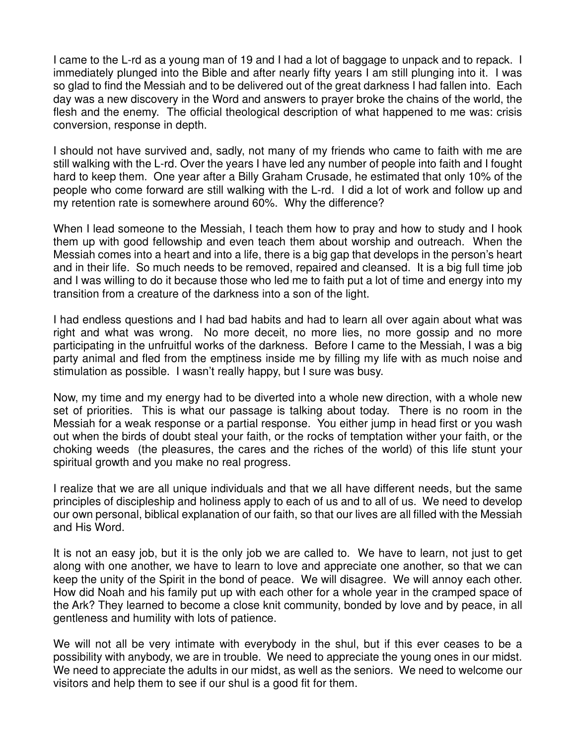I came to the L-rd as a young man of 19 and I had a lot of baggage to unpack and to repack. I immediately plunged into the Bible and after nearly fifty years I am still plunging into it. I was so glad to find the Messiah and to be delivered out of the great darkness I had fallen into. Each day was a new discovery in the Word and answers to prayer broke the chains of the world, the flesh and the enemy. The official theological description of what happened to me was: crisis conversion, response in depth.

I should not have survived and, sadly, not many of my friends who came to faith with me are still walking with the L-rd. Over the years I have led any number of people into faith and I fought hard to keep them. One year after a Billy Graham Crusade, he estimated that only 10% of the people who come forward are still walking with the L-rd. I did a lot of work and follow up and my retention rate is somewhere around 60%. Why the difference?

When I lead someone to the Messiah, I teach them how to pray and how to study and I hook them up with good fellowship and even teach them about worship and outreach. When the Messiah comes into a heart and into a life, there is a big gap that develops in the person's heart and in their life. So much needs to be removed, repaired and cleansed. It is a big full time job and I was willing to do it because those who led me to faith put a lot of time and energy into my transition from a creature of the darkness into a son of the light.

I had endless questions and I had bad habits and had to learn all over again about what was right and what was wrong. No more deceit, no more lies, no more gossip and no more participating in the unfruitful works of the darkness. Before I came to the Messiah, I was a big party animal and fled from the emptiness inside me by filling my life with as much noise and stimulation as possible. I wasn't really happy, but I sure was busy.

Now, my time and my energy had to be diverted into a whole new direction, with a whole new set of priorities. This is what our passage is talking about today. There is no room in the Messiah for a weak response or a partial response. You either jump in head first or you wash out when the birds of doubt steal your faith, or the rocks of temptation wither your faith, or the choking weeds (the pleasures, the cares and the riches of the world) of this life stunt your spiritual growth and you make no real progress.

I realize that we are all unique individuals and that we all have different needs, but the same principles of discipleship and holiness apply to each of us and to all of us. We need to develop our own personal, biblical explanation of our faith, so that our lives are all filled with the Messiah and His Word.

It is not an easy job, but it is the only job we are called to. We have to learn, not just to get along with one another, we have to learn to love and appreciate one another, so that we can keep the unity of the Spirit in the bond of peace. We will disagree. We will annoy each other. How did Noah and his family put up with each other for a whole year in the cramped space of the Ark? They learned to become a close knit community, bonded by love and by peace, in all gentleness and humility with lots of patience.

We will not all be very intimate with everybody in the shul, but if this ever ceases to be a possibility with anybody, we are in trouble. We need to appreciate the young ones in our midst. We need to appreciate the adults in our midst, as well as the seniors. We need to welcome our visitors and help them to see if our shul is a good fit for them.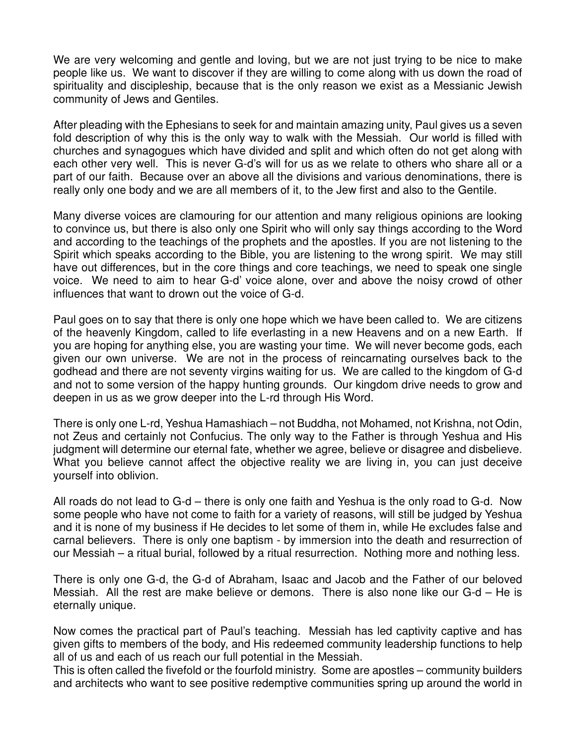We are very welcoming and gentle and loving, but we are not just trying to be nice to make people like us. We want to discover if they are willing to come along with us down the road of spirituality and discipleship, because that is the only reason we exist as a Messianic Jewish community of Jews and Gentiles.

After pleading with the Ephesians to seek for and maintain amazing unity, Paul gives us a seven fold description of why this is the only way to walk with the Messiah. Our world is filled with churches and synagogues which have divided and split and which often do not get along with each other very well. This is never G-d's will for us as we relate to others who share all or a part of our faith. Because over an above all the divisions and various denominations, there is really only one body and we are all members of it, to the Jew first and also to the Gentile.

Many diverse voices are clamouring for our attention and many religious opinions are looking to convince us, but there is also only one Spirit who will only say things according to the Word and according to the teachings of the prophets and the apostles. If you are not listening to the Spirit which speaks according to the Bible, you are listening to the wrong spirit. We may still have out differences, but in the core things and core teachings, we need to speak one single voice. We need to aim to hear G-d' voice alone, over and above the noisy crowd of other influences that want to drown out the voice of G-d.

Paul goes on to say that there is only one hope which we have been called to. We are citizens of the heavenly Kingdom, called to life everlasting in a new Heavens and on a new Earth. If you are hoping for anything else, you are wasting your time. We will never become gods, each given our own universe. We are not in the process of reincarnating ourselves back to the godhead and there are not seventy virgins waiting for us. We are called to the kingdom of G-d and not to some version of the happy hunting grounds. Our kingdom drive needs to grow and deepen in us as we grow deeper into the L-rd through His Word.

There is only one L-rd, Yeshua Hamashiach – not Buddha, not Mohamed, not Krishna, not Odin, not Zeus and certainly not Confucius. The only way to the Father is through Yeshua and His judgment will determine our eternal fate, whether we agree, believe or disagree and disbelieve. What you believe cannot affect the objective reality we are living in, you can just deceive yourself into oblivion.

All roads do not lead to G-d – there is only one faith and Yeshua is the only road to G-d. Now some people who have not come to faith for a variety of reasons, will still be judged by Yeshua and it is none of my business if He decides to let some of them in, while He excludes false and carnal believers. There is only one baptism - by immersion into the death and resurrection of our Messiah – a ritual burial, followed by a ritual resurrection. Nothing more and nothing less.

There is only one G-d, the G-d of Abraham, Isaac and Jacob and the Father of our beloved Messiah. All the rest are make believe or demons. There is also none like our G-d – He is eternally unique.

Now comes the practical part of Paul's teaching. Messiah has led captivity captive and has given gifts to members of the body, and His redeemed community leadership functions to help all of us and each of us reach our full potential in the Messiah.

This is often called the fivefold or the fourfold ministry. Some are apostles – community builders and architects who want to see positive redemptive communities spring up around the world in